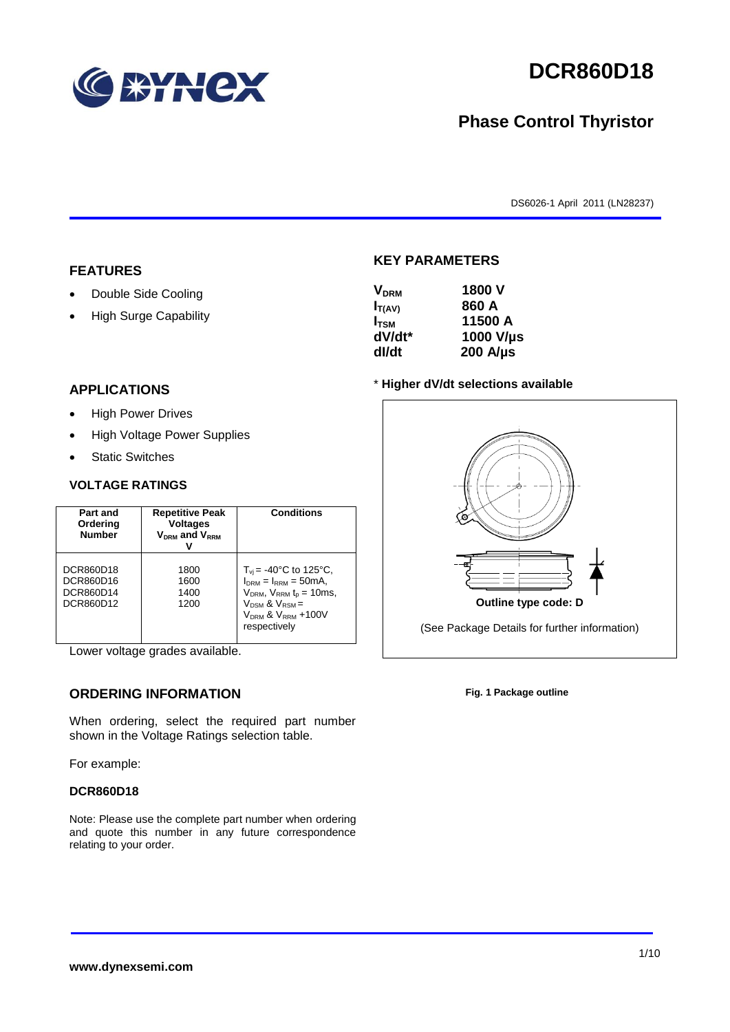

# **DCR860D18**

# **Phase Control Thyristor**

DS6026-1 April 2011 (LN28237)

#### **FEATURES**

- Double Side Cooling
- High Surge Capability

# **APPLICATIONS**

- High Power Drives
- High Voltage Power Supplies
- Static Switches

#### **VOLTAGE RATINGS**

| Part and<br>Ordering<br><b>Number</b>            | <b>Repetitive Peak</b><br><b>Voltages</b><br>$V_{DRM}$ and $V_{RRM}$ | <b>Conditions</b>                                                                                                                                                                               |
|--------------------------------------------------|----------------------------------------------------------------------|-------------------------------------------------------------------------------------------------------------------------------------------------------------------------------------------------|
| DCR860D18<br>DCR860D16<br>DCR860D14<br>DCR860D12 | 1800<br>1600<br>1400<br>1200                                         | $T_{\rm vi}$ = -40°C to 125°C,<br>$I_{DRM} = I_{RRM} = 50mA$ ,<br>$V_{DRM}$ , $V_{RRM}$ $t_{p}$ = 10ms,<br>$V_{DSM}$ & $V_{RSM}$ =<br>V <sub>DRM</sub> & V <sub>RRM</sub> +100V<br>respectively |

Lower voltage grades available.

## **ORDERING INFORMATION**

When ordering, select the required part number shown in the Voltage Ratings selection table.

For example:

#### **DCR860D18**

Note: Please use the complete part number when ordering and quote this number in any future correspondence relating to your order.

### **KEY PARAMETERS**

| <b>V<sub>DRM</sub></b> | 1800 V           |
|------------------------|------------------|
| $I_{T(AV)}$            | 860 A            |
| $I_{\text{TSM}}$       | 11500 A          |
| dV/dt*                 | 1000 V/µs        |
| dl/dt                  | $200$ A/ $\mu$ s |

#### \* **Higher dV/dt selections available**



**Fig. 1 Package outline**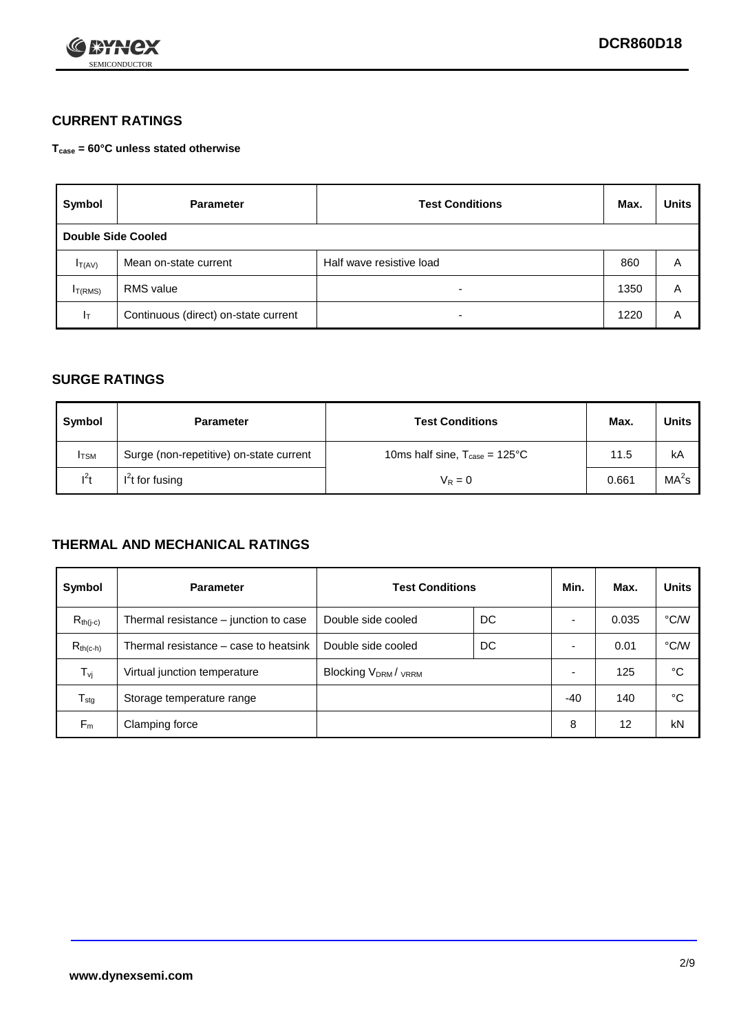

## **CURRENT RATINGS**

**Tcase = 60°C unless stated otherwise**

| Symbol              | <b>Parameter</b>                     | <b>Test Conditions</b>   | Max. | <b>Units</b> |  |
|---------------------|--------------------------------------|--------------------------|------|--------------|--|
| Double Side Cooled  |                                      |                          |      |              |  |
| $I_{T(AV)}$         | Mean on-state current                | Half wave resistive load | 860  | A            |  |
| I <sub>T(RMS)</sub> | RMS value                            | $\overline{\phantom{a}}$ | 1350 | A            |  |
| Iт                  | Continuous (direct) on-state current | $\overline{\phantom{a}}$ | 1220 | Α            |  |

### **SURGE RATINGS**

| Symbol       | <b>Parameter</b>                        | <b>Test Conditions</b>                           | Max.  | Units             |
|--------------|-----------------------------------------|--------------------------------------------------|-------|-------------------|
| <b>I</b> TSM | Surge (non-repetitive) on-state current | 10ms half sine, $T_{\text{case}} = 125^{\circ}C$ | 11.5  | kA                |
| $l^2t$       | $I2t$ for fusing                        | $V_R = 0$                                        | 0.661 | MA <sup>2</sup> s |

### **THERMAL AND MECHANICAL RATINGS**

| Symbol           | <b>Parameter</b>                      | <b>Test Conditions</b>    |    | Min.  | Max.  | <b>Units</b> |
|------------------|---------------------------------------|---------------------------|----|-------|-------|--------------|
| $R_{th(j-c)}$    | Thermal resistance – junction to case | Double side cooled        | DC |       | 0.035 | °C/W         |
| $R_{th(c-h)}$    | Thermal resistance – case to heatsink | Double side cooled        | DC |       | 0.01  | °C/W         |
| $T_{\nu j}$      | Virtual junction temperature          | <b>Blocking VDRM/VRRM</b> |    |       | 125   | °C           |
| $T_{\text{stg}}$ | Storage temperature range             |                           |    | $-40$ | 140   | °C           |
| $F_m$            | Clamping force                        |                           |    | 8     | 12    | kN           |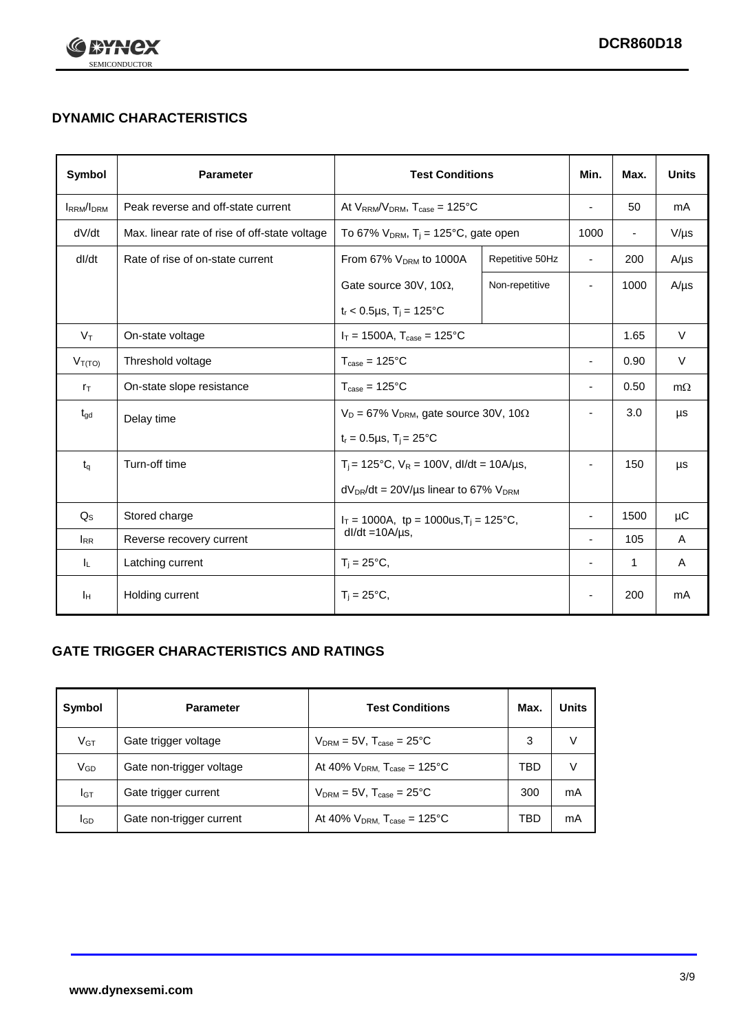

# **DYNAMIC CHARACTERISTICS**

| <b>Symbol</b>     | <b>Parameter</b>                              | <b>Test Conditions</b>                                                        |                 | Min.                     | Max.                     | <b>Units</b> |
|-------------------|-----------------------------------------------|-------------------------------------------------------------------------------|-----------------|--------------------------|--------------------------|--------------|
| <b>IRRM</b> /IDRM | Peak reverse and off-state current            | At $V_{RRM}/V_{DRM}$ , $T_{case} = 125^{\circ}C$                              |                 | ٠                        | 50                       | mA           |
| dV/dt             | Max. linear rate of rise of off-state voltage | To 67% $V_{DRM}$ , T <sub>i</sub> = 125°C, gate open                          |                 | 1000                     | $\overline{\phantom{a}}$ | $V/\mu s$    |
| dl/dt             | Rate of rise of on-state current              | From 67% $V_{DRM}$ to 1000A                                                   | Repetitive 50Hz | $\blacksquare$           | 200                      | $A/\mu s$    |
|                   |                                               | Gate source 30V, 10 $\Omega$ ,                                                | Non-repetitive  | $\blacksquare$           | 1000                     | $A/\mu s$    |
|                   |                                               | $t_r$ < 0.5µs, T <sub>i</sub> = 125°C                                         |                 |                          |                          |              |
| $V_T$             | On-state voltage                              | $I_T = 1500A$ , $T_{case} = 125^{\circ}C$                                     |                 |                          | 1.65                     | $\vee$       |
| $V_{T(TO)}$       | Threshold voltage                             | $T_{\text{case}} = 125^{\circ}C$                                              |                 | ٠                        | 0.90                     | $\vee$       |
| $r_{\text{T}}$    | On-state slope resistance                     | $T_{\text{case}} = 125^{\circ}C$                                              |                 | $\overline{\phantom{a}}$ | 0.50                     | $m\Omega$    |
| $t_{\rm gd}$      | Delay time                                    | $V_D = 67\%$ V <sub>DRM</sub> , gate source 30V, 10 $\Omega$                  |                 | ٠                        | 3.0                      | μs           |
|                   |                                               | $t_r = 0.5 \mu s$ , $T_i = 25^{\circ}C$                                       |                 |                          |                          |              |
| $t_q$             | Turn-off time                                 | $T_i$ = 125°C, $V_R$ = 100V, dl/dt = 10A/us,                                  |                 | ٠                        | 150                      | μs           |
|                   |                                               | $dV_{DR}/dt = 20V/\mu s$ linear to 67% $V_{DRM}$                              |                 |                          |                          |              |
| $Q_{\rm S}$       | Stored charge                                 | $I_T = 1000A$ , tp = 1000us, T <sub>i</sub> = 125°C,<br>$dl/dt = 10A/\mu s$ , |                 |                          | 1500                     | μC           |
| $I_{RR}$          | Reverse recovery current                      |                                                                               |                 | $\blacksquare$           | 105                      | A            |
| IL.               | Latching current                              | $T_i = 25^{\circ}C$ ,                                                         |                 | ÷,                       | $\mathbf{1}$             | Α            |
| Iн                | Holding current                               | $T_i = 25^{\circ}C,$                                                          |                 |                          | 200                      | mA           |

## **GATE TRIGGER CHARACTERISTICS AND RATINGS**

| Symbol          | <b>Parameter</b>         | <b>Test Conditions</b>                |     | Units |
|-----------------|--------------------------|---------------------------------------|-----|-------|
| V <sub>GT</sub> | Gate trigger voltage     | $V_{DRM}$ = 5V, $T_{case}$ = 25°C     | 3   | V     |
| $V_{GD}$        | Gate non-trigger voltage | At 40% $V_{DRM}$ , $T_{case}$ = 125°C | TBD | V     |
| Iст             | Gate trigger current     | $V_{DRM}$ = 5V, $T_{case}$ = 25°C     | 300 | mA    |
| <b>I</b> GD     | Gate non-trigger current | At 40% $V_{DRM}$ , $T_{case}$ = 125°C | TBD | mA    |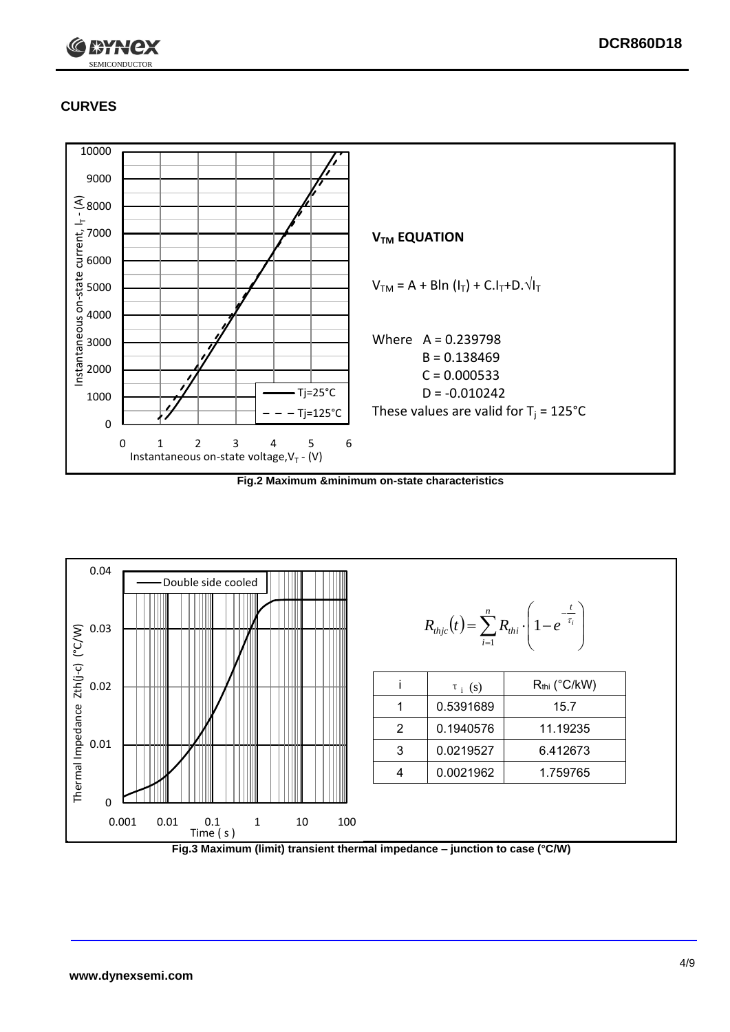

# **CURVES**



**Fig.2 Maximum &minimum on-state characteristics**



**Fig.3 Maximum (limit) transient thermal impedance – junction to case (°C/W)**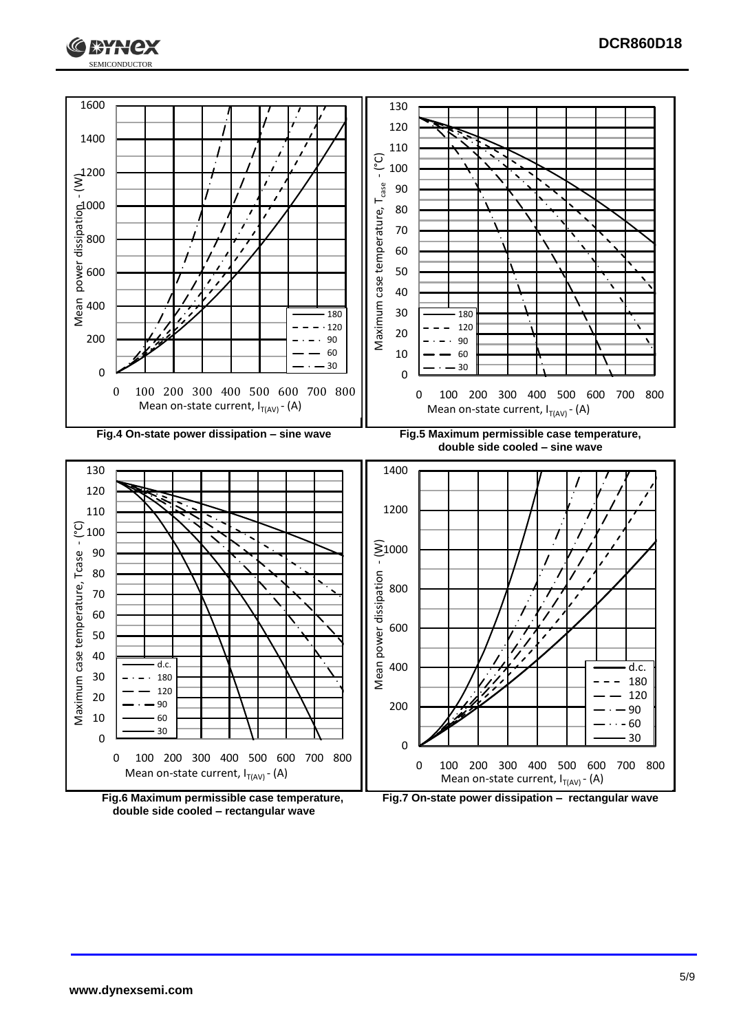



**double side cooled – rectangular wave**

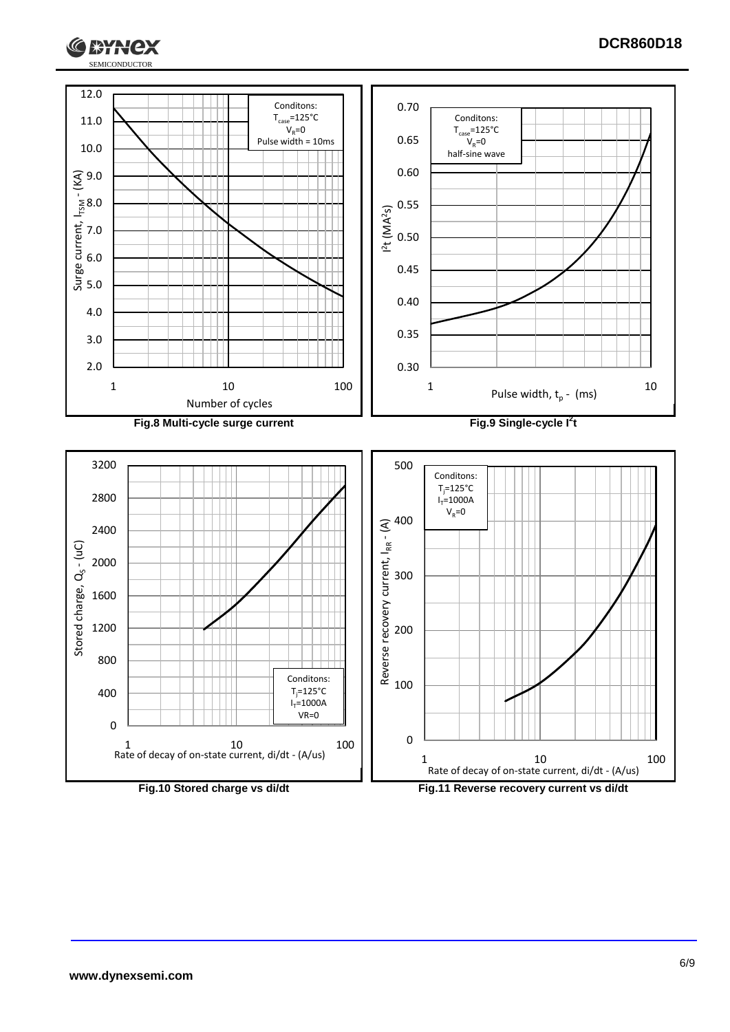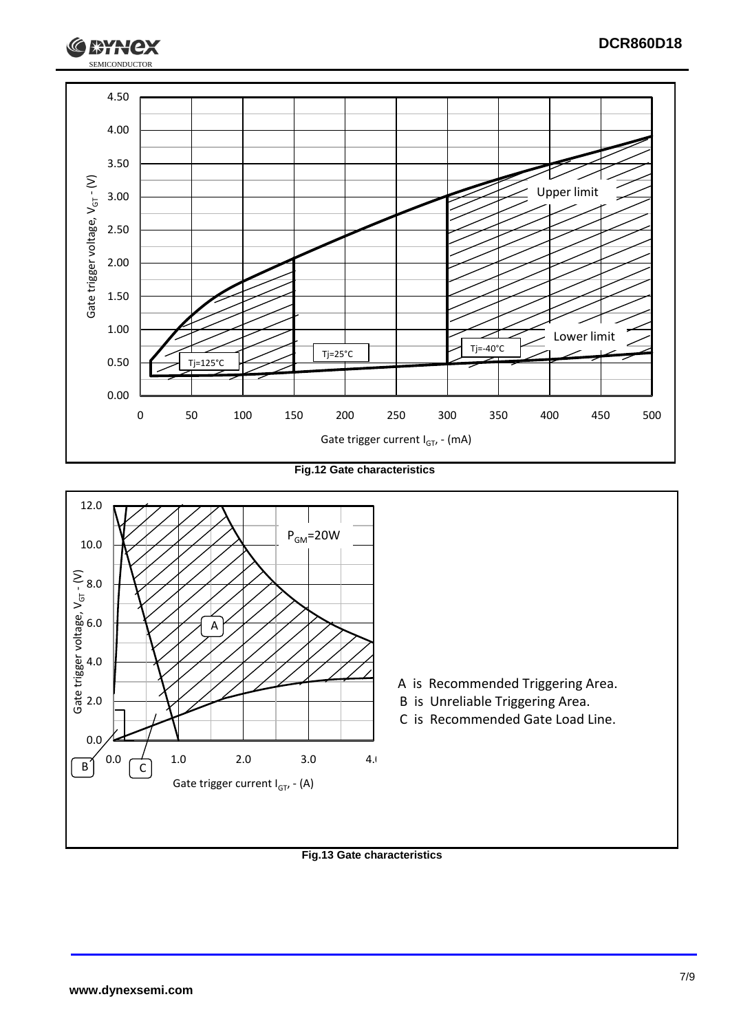

**Fig.12 Gate characteristics**



**Fig.13 Gate characteristics**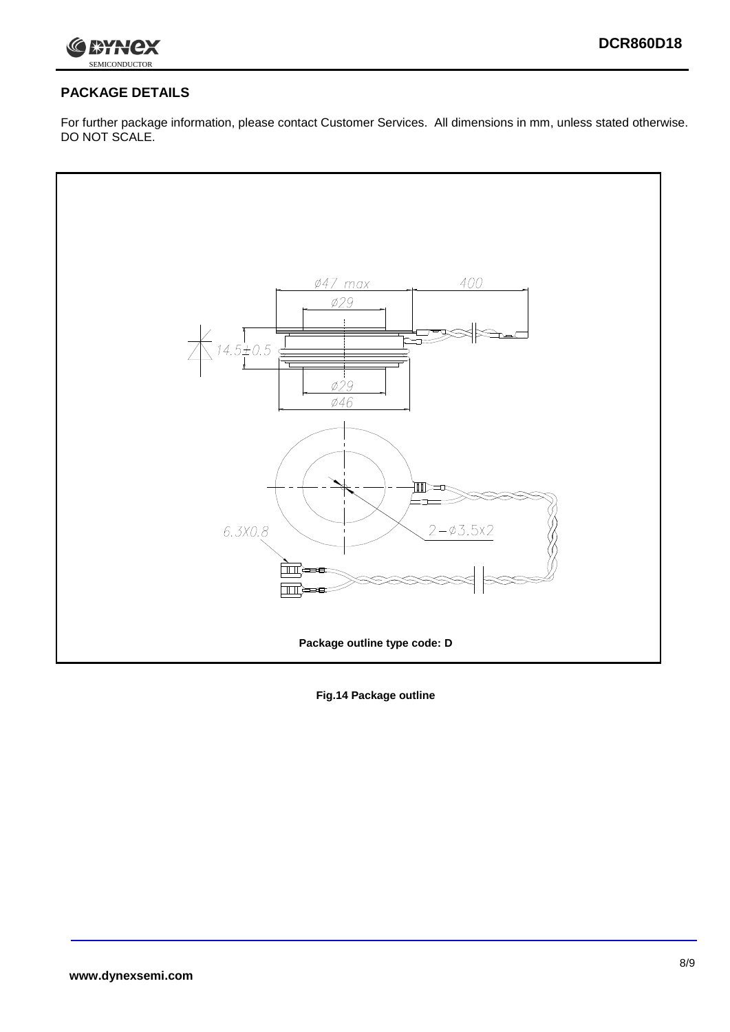

# **PACKAGE DETAILS**

For further package information, please contact Customer Services. All dimensions in mm, unless stated otherwise. DO NOT SCALE.



**Fig.14 Package outline**